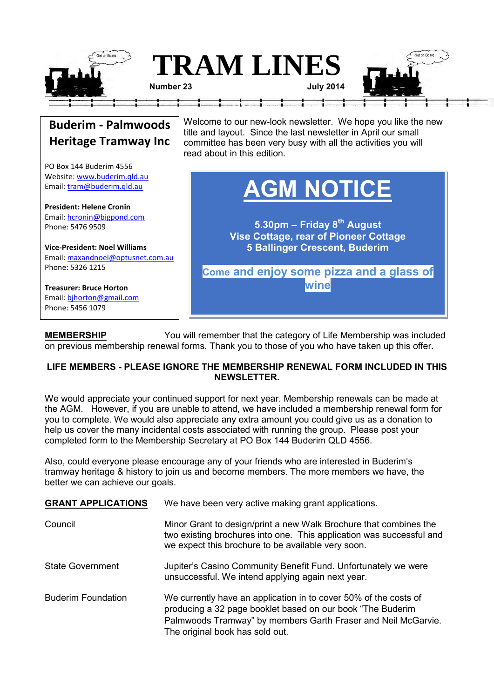

## **Buderim - Palmwoods Heritage Tramway Inc**

PO Box 144 Buderim 4556 Website[: www.buderim.qld.au](http://www.buderim.qld.au/) Email: [tram@buderim.qld.au](mailto:tram@buderim.qld.au)

**President: Helene Cronin**  Email: [hcronin@bigpond.com](mailto:hcronin@bigpond.com) Phone: 5476 9509

**Vice-President: Noel Williams** Email: [maxandnoel@optusnet.com.au](mailto:maxandnoel@optusnet.com.au) Phone: 5326 1215

**Treasurer: Bruce Horton** Email: [bjhorton@gmail.com](mailto:bjhorton@gmail.com) Phone: 5456 1079

Welcome to our new-look newsletter. We hope you like the new title and layout. Since the last newsletter in April our small committee has been very busy with all the activities you will read about in this edition.

# **AGM NOTICE**

**5.30pm – Friday 8th August Vise Cottage, rear of Pioneer Cottage 5 Ballinger Crescent, Buderim**

**Come and enjoy some pizza and a glass of wine**

**MEMBERSHIP** You will remember that the category of Life Membership was included on previous membership renewal forms. Thank you to those of you who have taken up this offer.

#### **LIFE MEMBERS - PLEASE IGNORE THE MEMBERSHIP RENEWAL FORM INCLUDED IN THIS NEWSLETTER.**

We would appreciate your continued support for next year. Membership renewals can be made at the AGM. However, if you are unable to attend, we have included a membership renewal form for you to complete. We would also appreciate any extra amount you could give us as a donation to help us cover the many incidental costs associated with running the group. Please post your completed form to the Membership Secretary at PO Box 144 Buderim QLD 4556.

Also, could everyone please encourage any of your friends who are interested in Buderim's tramway heritage & history to join us and become members. The more members we have, the better we can achieve our goals.

| <b>GRANT APPLICATIONS</b> | We have been very active making grant applications.                                                                                                                                                                                |
|---------------------------|------------------------------------------------------------------------------------------------------------------------------------------------------------------------------------------------------------------------------------|
| Council                   | Minor Grant to design/print a new Walk Brochure that combines the<br>two existing brochures into one. This application was successful and<br>we expect this brochure to be available very soon.                                    |
| <b>State Government</b>   | Jupiter's Casino Community Benefit Fund. Unfortunately we were<br>unsuccessful. We intend applying again next year.                                                                                                                |
| <b>Buderim Foundation</b> | We currently have an application in to cover 50% of the costs of<br>producing a 32 page booklet based on our book "The Buderim<br>Palmwoods Tramway" by members Garth Fraser and Neil McGarvie.<br>The original book has sold out. |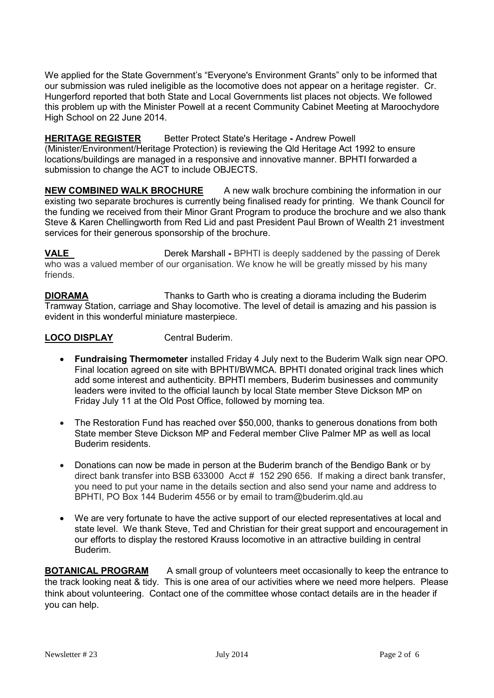We applied for the State Government's "Everyone's Environment Grants" only to be informed that our submission was ruled ineligible as the locomotive does not appear on a heritage register. Cr. Hungerford reported that both State and Local Governments list places not objects. We followed this problem up with the Minister Powell at a recent Community Cabinet Meeting at Maroochydore High School on 22 June 2014.

#### **HERITAGE REGISTER** Better Protect State's Heritage **-** Andrew Powell

(Minister/Environment/Heritage Protection) is reviewing the Qld Heritage Act 1992 to ensure locations/buildings are managed in a responsive and innovative manner. BPHTI forwarded a submission to change the ACT to include OBJECTS.

**NEW COMBINED WALK BROCHURE** A new walk brochure combining the information in our existing two separate brochures is currently being finalised ready for printing. We thank Council for the funding we received from their Minor Grant Program to produce the brochure and we also thank Steve & Karen Chellingworth from Red Lid and past President Paul Brown of Wealth 21 investment services for their generous sponsorship of the brochure.

**VALE Derek Marshall - BPHTI is deeply saddened by the passing of Derek** who was a valued member of our organisation. We know he will be greatly missed by his many friends.

**DIORAMA** Thanks to Garth who is creating a diorama including the Buderim Tramway Station, carriage and Shay locomotive. The level of detail is amazing and his passion is evident in this wonderful miniature masterpiece.

#### **LOCO DISPLAY Central Buderim.**

- **Fundraising Thermometer** installed Friday 4 July next to the Buderim Walk sign near OPO. Final location agreed on site with BPHTI/BWMCA. BPHTI donated original track lines which add some interest and authenticity. BPHTI members, Buderim businesses and community leaders were invited to the official launch by local State member Steve Dickson MP on Friday July 11 at the Old Post Office, followed by morning tea.
- The Restoration Fund has reached over \$50,000, thanks to generous donations from both State member Steve Dickson MP and Federal member Clive Palmer MP as well as local Buderim residents.
- Donations can now be made in person at the Buderim branch of the Bendigo Bank or by direct bank transfer into BSB 633000 Acct # 152 290 656. If making a direct bank transfer, you need to put your name in the details section and also send your name and address to BPHTI, PO Box 144 Buderim 4556 or by email to tram@buderim.qld.au
- We are very fortunate to have the active support of our elected representatives at local and state level. We thank Steve, Ted and Christian for their great support and encouragement in our efforts to display the restored Krauss locomotive in an attractive building in central Buderim.

**BOTANICAL PROGRAM** A small group of volunteers meet occasionally to keep the entrance to the track looking neat & tidy. This is one area of our activities where we need more helpers. Please think about volunteering. Contact one of the committee whose contact details are in the header if you can help.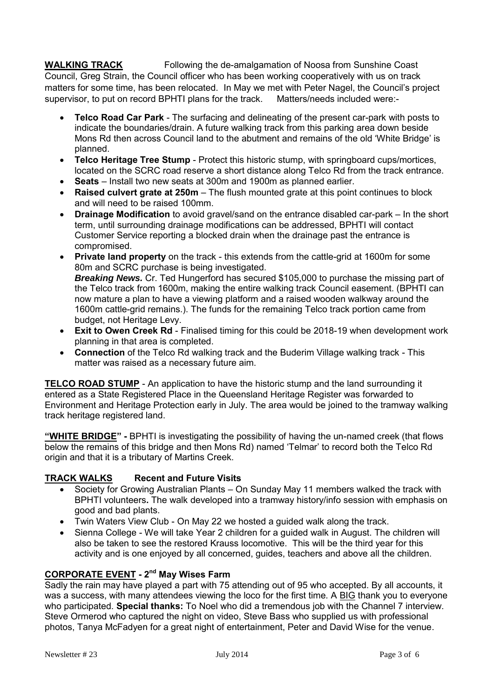**WALKING TRACK** Following the de-amalgamation of Noosa from Sunshine Coast Council, Greg Strain, the Council officer who has been working cooperatively with us on track matters for some time, has been relocated. In May we met with Peter Nagel, the Council's project supervisor, to put on record BPHTI plans for the track. Matters/needs included were:-

- **Telco Road Car Park** The surfacing and delineating of the present car-park with posts to indicate the boundaries/drain. A future walking track from this parking area down beside Mons Rd then across Council land to the abutment and remains of the old 'White Bridge' is planned.
- **Telco Heritage Tree Stump** Protect this historic stump, with springboard cups/mortices, located on the SCRC road reserve a short distance along Telco Rd from the track entrance.
- **Seats**Install two new seats at 300m and 1900m as planned earlier.
- **Raised culvert grate at 250m** The flush mounted grate at this point continues to block and will need to be raised 100mm.
- **Drainage Modification** to avoid gravel/sand on the entrance disabled car-park In the short term, until surrounding drainage modifications can be addressed, BPHTI will contact Customer Service reporting a blocked drain when the drainage past the entrance is compromised.
- **Private land property** on the track this extends from the cattle-grid at 1600m for some 80m and SCRC purchase is being investigated. **Breaking News.** Cr. Ted Hungerford has secured \$105,000 to purchase the missing part of the Telco track from 1600m, making the entire walking track Council easement. (BPHTI can now mature a plan to have a viewing platform and a raised wooden walkway around the 1600m cattle-grid remains.). The funds for the remaining Telco track portion came from budget, not Heritage Levy.
- **Exit to Owen Creek Rd** Finalised timing for this could be 2018-19 when development work planning in that area is completed.
- **Connection** of the Telco Rd walking track and the Buderim Village walking track This matter was raised as a necessary future aim.

**TELCO ROAD STUMP** - An application to have the historic stump and the land surrounding it entered as a State Registered Place in the Queensland Heritage Register was forwarded to Environment and Heritage Protection early in July. The area would be joined to the tramway walking track heritage registered land.

**"WHITE BRIDGE" -** BPHTI is investigating the possibility of having the un-named creek (that flows below the remains of this bridge and then Mons Rd) named 'Telmar' to record both the Telco Rd origin and that it is a tributary of Martins Creek.

#### **TRACK WALKS Recent and Future Visits**

- Society for Growing Australian Plants On Sunday May 11 members walked the track with BPHTI volunteers**.** The walk developed into a tramway history/info session with emphasis on good and bad plants.
- Twin Waters View Club On May 22 we hosted a guided walk along the track.
- Sienna College We will take Year 2 children for a guided walk in August. The children will also be taken to see the restored Krauss locomotive. This will be the third year for this activity and is one enjoyed by all concerned, guides, teachers and above all the children.

#### **CORPORATE EVENT - 2nd May Wises Farm**

Sadly the rain may have played a part with 75 attending out of 95 who accepted. By all accounts, it was a success, with many attendees viewing the loco for the first time. A BIG thank you to everyone who participated. **Special thanks:** To Noel who did a tremendous job with the Channel 7 interview. Steve Ormerod who captured the night on video, Steve Bass who supplied us with professional photos, Tanya McFadyen for a great night of entertainment, Peter and David Wise for the venue.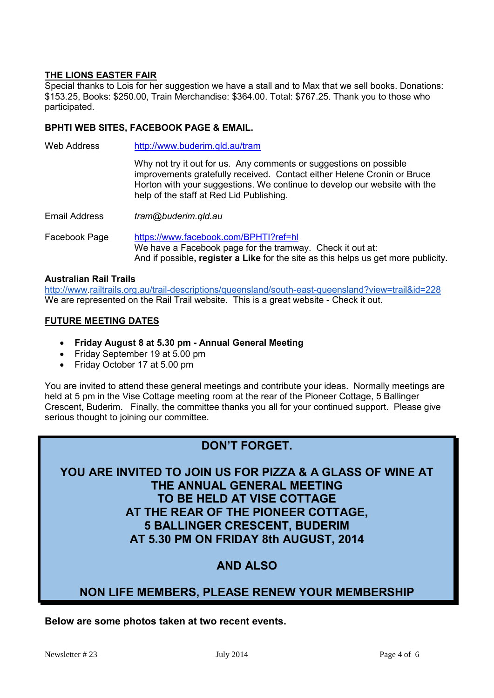#### **THE LIONS EASTER FAIR**

Special thanks to Lois for her suggestion we have a stall and to Max that we sell books. Donations: \$153.25, Books: \$250.00, Train Merchandise: \$364.00. Total: \$767.25. Thank you to those who participated.

#### **BPHTI WEB SITES, FACEBOOK PAGE & EMAIL.**

Web Address http://www.buderim.qld.au/tram Why not try it out for us. Any comments or suggestions on possible improvements gratefully received. Contact either Helene Cronin or Bruce Horton with your suggestions. We continue to develop our website with the help of the staff at Red Lid Publishing. Email Address *tram@buderim.qld.au* Facebook Page <https://www.facebook.com/BPHTI?ref=hl> We have a Facebook page for the tramway. Check it out at: And if possible**, register a Like** for the site as this helps us get more publicity.

#### **Australian Rail Trails**

[http://www.](http://www/)[railtrails.org.au/trail-descriptions/queensland/south-east-queensland?view=trail&id=228](http://railtrails.org.au/trail-descriptions/queensland/south-east-queensland?view=trail&id=228) We are represented on the Rail Trail website. This is a great website - Check it out.

#### **FUTURE MEETING DATES**

- **Friday August 8 at 5.30 pm - Annual General Meeting**
- Friday September 19 at 5.00 pm
- Friday October 17 at 5.00 pm

You are invited to attend these general meetings and contribute your ideas. Normally meetings are held at 5 pm in the Vise Cottage meeting room at the rear of the Pioneer Cottage, 5 Ballinger Crescent, Buderim. Finally, the committee thanks you all for your continued support. Please give serious thought to joining our committee.

## **DON'T FORGET.**

## **YOU ARE INVITED TO JOIN US FOR PIZZA & A GLASS OF WINE AT THE ANNUAL GENERAL MEETING TO BE HELD AT VISE COTTAGE AT THE REAR OF THE PIONEER COTTAGE, 5 BALLINGER CRESCENT, BUDERIM AT 5.30 PM ON FRIDAY 8th AUGUST, 2014**

## **AND ALSO**

### **NON LIFE MEMBERS, PLEASE RENEW YOUR MEMBERSHIP**

**Below are some photos taken at two recent events.**